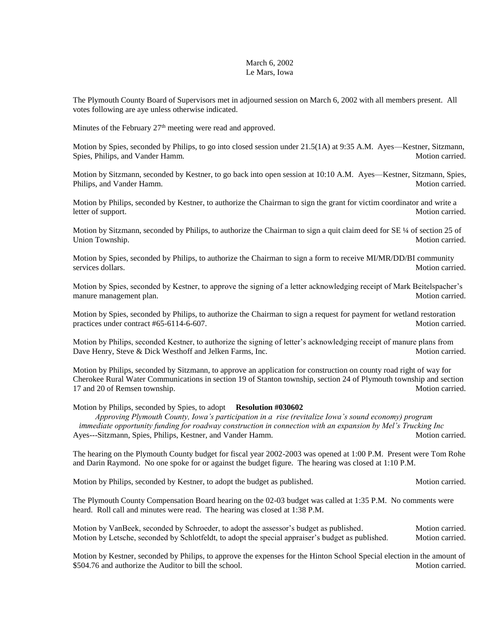## March 6, 2002 Le Mars, Iowa

The Plymouth County Board of Supervisors met in adjourned session on March 6, 2002 with all members present. All votes following are aye unless otherwise indicated.

Minutes of the February 27<sup>th</sup> meeting were read and approved.

Motion by Spies, seconded by Philips, to go into closed session under 21.5(1A) at 9:35 A.M. Ayes—Kestner, Sitzmann, Spies, Philips, and Vander Hamm. Motion carried. Motion carried.

Motion by Sitzmann, seconded by Kestner, to go back into open session at 10:10 A.M. Ayes—Kestner, Sitzmann, Spies, Philips, and Vander Hamm. The state of the state of the state of the state of the Motion carried.

Motion by Philips, seconded by Kestner, to authorize the Chairman to sign the grant for victim coordinator and write a letter of support. Motion carried.

Motion by Sitzmann, seconded by Philips, to authorize the Chairman to sign a quit claim deed for SE ¼ of section 25 of Union Township. Motion carried.

Motion by Spies, seconded by Philips, to authorize the Chairman to sign a form to receive MI/MR/DD/BI community services dollars. Motion carried. Motion carried.

Motion by Spies, seconded by Kestner, to approve the signing of a letter acknowledging receipt of Mark Beitelspacher's manure management plan. Motion carried.

Motion by Spies, seconded by Philips, to authorize the Chairman to sign a request for payment for wetland restoration practices under contract #65-6114-6-607. Motion carried.

Motion by Philips, seconded Kestner, to authorize the signing of letter's acknowledging receipt of manure plans from Dave Henry, Steve & Dick Westhoff and Jelken Farms, Inc. Motion carried.

Motion by Philips, seconded by Sitzmann, to approve an application for construction on county road right of way for Cherokee Rural Water Communications in section 19 of Stanton township, section 24 of Plymouth township and section 17 and 20 of Remsen township. Motion carried.

Motion by Philips, seconded by Spies, to adopt **Resolution #030602**

 *Approving Plymouth County, Iowa's participation in a rise (revitalize Iowa's sound economy) program immediate opportunity funding for roadway construction in connection with an expansion by Mel's Trucking Inc* Ayes---Sitzmann, Spies, Philips, Kestner, and Vander Hamm. Motion carried. Motion carried.

The hearing on the Plymouth County budget for fiscal year 2002-2003 was opened at 1:00 P.M. Present were Tom Rohe and Darin Raymond. No one spoke for or against the budget figure. The hearing was closed at 1:10 P.M.

Motion by Philips, seconded by Kestner, to adopt the budget as published. Motion carried.

The Plymouth County Compensation Board hearing on the 02-03 budget was called at 1:35 P.M. No comments were heard. Roll call and minutes were read. The hearing was closed at 1:38 P.M.

Motion by VanBeek, seconded by Schroeder, to adopt the assessor's budget as published. Motion carried. Motion by Letsche, seconded by Schlotfeldt, to adopt the special appraiser's budget as published. Motion carried.

Motion by Kestner, seconded by Philips, to approve the expenses for the Hinton School Special election in the amount of \$504.76 and authorize the Auditor to bill the school. Motion carried. Motion carried.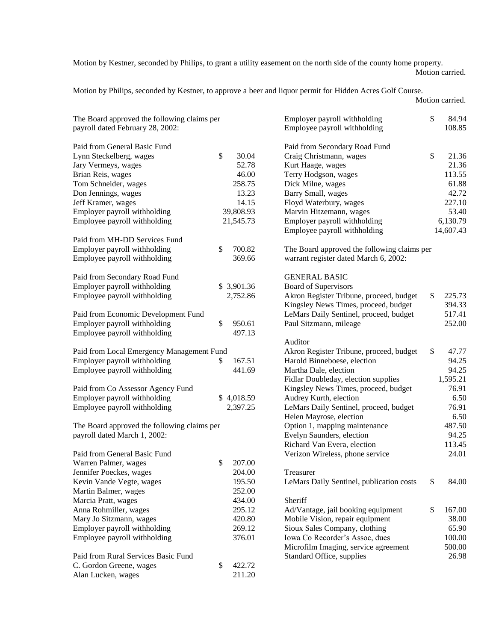Motion by Kestner, seconded by Philips, to grant a utility easement on the north side of the county home property. Motion carried.

Motion by Philips, seconded by Kestner, to approve a beer and liquor permit for Hidden Acres Golf Course.

Motion carried.

| The Board approved the following claims per<br>payroll dated February 28, 2002: |              | Employer payroll withholding<br>Employee payroll withholding | \$       | 84.94<br>108.85 |
|---------------------------------------------------------------------------------|--------------|--------------------------------------------------------------|----------|-----------------|
| Paid from General Basic Fund                                                    |              | Paid from Secondary Road Fund                                |          |                 |
| Lynn Steckelberg, wages                                                         | \$<br>30.04  | Craig Christmann, wages                                      | \$       | 21.36           |
| Jary Vermeys, wages                                                             | 52.78        | Kurt Haage, wages                                            |          | 21.36           |
| Brian Reis, wages                                                               | 46.00        | Terry Hodgson, wages                                         |          | 113.55          |
| Tom Schneider, wages                                                            | 258.75       | Dick Milne, wages                                            |          | 61.88           |
| Don Jennings, wages                                                             | 13.23        | <b>Barry Small</b> , wages                                   |          | 42.72           |
| Jeff Kramer, wages                                                              | 14.15        | Floyd Waterbury, wages                                       |          | 227.10          |
| Employer payroll withholding                                                    | 39,808.93    | Marvin Hitzemann, wages                                      |          | 53.40           |
| Employee payroll withholding                                                    | 21,545.73    | Employer payroll withholding                                 | 6,130.79 |                 |
|                                                                                 |              | Employee payroll withholding                                 |          | 14,607.43       |
| Paid from MH-DD Services Fund                                                   |              |                                                              |          |                 |
| Employer payroll withholding                                                    | \$<br>700.82 | The Board approved the following claims per                  |          |                 |
| Employee payroll withholding                                                    | 369.66       | warrant register dated March 6, 2002:                        |          |                 |
|                                                                                 |              |                                                              |          |                 |
| Paid from Secondary Road Fund                                                   |              | <b>GENERAL BASIC</b>                                         |          |                 |
| Employer payroll withholding                                                    | \$ 3,901.36  | Board of Supervisors                                         |          |                 |
| Employee payroll withholding                                                    | 2,752.86     | Akron Register Tribune, proceed, budget                      | \$       | 225.73          |
|                                                                                 |              | Kingsley News Times, proceed, budget                         |          | 394.33          |
| Paid from Economic Development Fund                                             |              | LeMars Daily Sentinel, proceed, budget                       |          | 517.41          |
| Employer payroll withholding                                                    | \$<br>950.61 | Paul Sitzmann, mileage                                       |          | 252.00          |
| Employee payroll withholding                                                    | 497.13       |                                                              |          |                 |
|                                                                                 |              | Auditor                                                      |          |                 |
| Paid from Local Emergency Management Fund                                       |              | Akron Register Tribune, proceed, budget                      | \$       | 47.77           |
| Employer payroll withholding                                                    | \$<br>167.51 | Harold Binneboese, election                                  |          | 94.25           |
| Employee payroll withholding                                                    | 441.69       | Martha Dale, election                                        |          | 94.25           |
|                                                                                 |              | Fidlar Doubleday, election supplies                          |          | 1,595.21        |
| Paid from Co Assessor Agency Fund                                               |              | Kingsley News Times, proceed, budget                         |          | 76.91           |
| Employer payroll withholding                                                    | \$4,018.59   | Audrey Kurth, election                                       |          | 6.50            |
| Employee payroll withholding                                                    | 2,397.25     | LeMars Daily Sentinel, proceed, budget                       |          | 76.91           |
|                                                                                 |              | Helen Mayrose, election                                      |          | 6.50            |
| The Board approved the following claims per                                     |              | Option 1, mapping maintenance                                |          | 487.50          |
| payroll dated March 1, 2002:                                                    |              | Evelyn Saunders, election                                    |          | 94.25           |
|                                                                                 |              | Richard Van Evera, election                                  |          | 113.45          |
| Paid from General Basic Fund                                                    |              | Verizon Wireless, phone service                              |          | 24.01           |
| Warren Palmer, wages                                                            | \$<br>207.00 |                                                              |          |                 |
| Jennifer Poeckes, wages                                                         | 204.00       | Treasurer                                                    |          |                 |
| Kevin Vande Vegte, wages                                                        | 195.50       | LeMars Daily Sentinel, publication costs                     | \$       | 84.00           |
| Martin Balmer, wages                                                            | 252.00       |                                                              |          |                 |
| Marcia Pratt, wages                                                             | 434.00       | Sheriff                                                      |          |                 |
| Anna Rohmiller, wages                                                           | 295.12       | Ad/Vantage, jail booking equipment                           | \$       | 167.00          |
| Mary Jo Sitzmann, wages                                                         | 420.80       | Mobile Vision, repair equipment                              |          | 38.00           |
| Employer payroll withholding                                                    | 269.12       | Sioux Sales Company, clothing                                |          | 65.90           |
| Employee payroll withholding                                                    | 376.01       | Iowa Co Recorder's Assoc, dues                               |          | 100.00          |
|                                                                                 |              | Microfilm Imaging, service agreement                         |          | 500.00          |
| Paid from Rural Services Basic Fund                                             |              | Standard Office, supplies                                    |          | 26.98           |
| C. Gordon Greene, wages                                                         | \$<br>422.72 |                                                              |          |                 |
| Alan Lucken, wages                                                              | 211.20       |                                                              |          |                 |
|                                                                                 |              |                                                              |          |                 |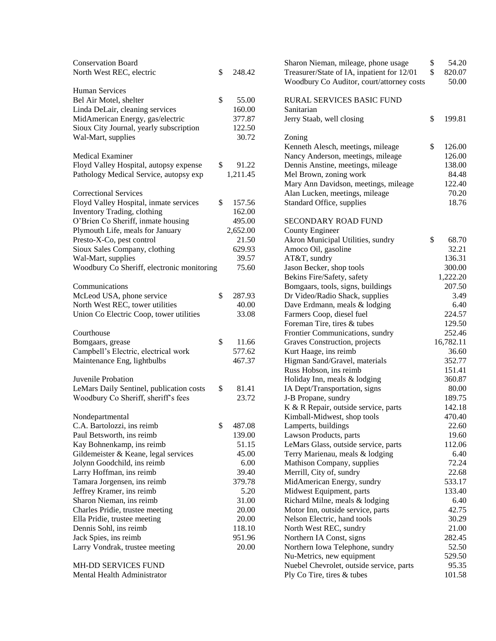| <b>Conservation Board</b><br>North West REC, electric | \$<br>248.42 |  |
|-------------------------------------------------------|--------------|--|
| <b>Human Services</b>                                 |              |  |
| Bel Air Motel, shelter                                | \$<br>55.00  |  |
| Linda DeLair, cleaning services                       | 160.00       |  |
| MidAmerican Energy, gas/electric                      | 377.87       |  |
| Sioux City Journal, yearly subscription               | 122.50       |  |
| Wal-Mart, supplies                                    | 30.72        |  |
| <b>Medical Examiner</b>                               |              |  |
| Floyd Valley Hospital, autopsy expense                | \$<br>91.22  |  |
| Pathology Medical Service, autopsy exp                | 1,211.45     |  |
| <b>Correctional Services</b>                          |              |  |
| Floyd Valley Hospital, inmate services                | \$<br>157.56 |  |
| <b>Inventory Trading, clothing</b>                    | 162.00       |  |
| O'Brien Co Sheriff, inmate housing                    | 495.00       |  |
| Plymouth Life, meals for January                      | 2,652.00     |  |
| Presto-X-Co, pest control                             | 21.50        |  |
| Sioux Sales Company, clothing                         | 629.93       |  |
| Wal-Mart, supplies                                    | 39.57        |  |
| Woodbury Co Sheriff, electronic monitoring            | 75.60        |  |
| Communications                                        |              |  |
| McLeod USA, phone service                             | \$<br>287.93 |  |
| North West REC, tower utilities                       | 40.00        |  |
| Union Co Electric Coop, tower utilities               | 33.08        |  |
| Courthouse                                            |              |  |
| Bomgaars, grease                                      | \$<br>11.66  |  |
| Campbell's Electric, electrical work                  | 577.62       |  |
| Maintenance Eng, lightbulbs                           | 467.37       |  |
| Juvenile Probation                                    |              |  |
| LeMars Daily Sentinel, publication costs              | \$<br>81.41  |  |
| Woodbury Co Sheriff, sheriff's fees                   | 23.72        |  |
| Nondepartmental                                       |              |  |
| C.A. Bartolozzi, ins reimb                            | \$<br>487.08 |  |
| Paul Betsworth, ins reimb                             | 139.00       |  |
| Kay Bohnenkamp, ins reimb                             | 51.15        |  |
| Gildemeister & Keane, legal services                  | 45.00        |  |
| Jolynn Goodchild, ins reimb                           | 6.00         |  |
| Larry Hoffman, ins reimb                              | 39.40        |  |
| Tamara Jorgensen, ins reimb                           | 379.78       |  |
| Jeffrey Kramer, ins reimb                             | 5.20         |  |
| Sharon Nieman, ins reimb                              | 31.00        |  |
| Charles Pridie, trustee meeting                       | 20.00        |  |
| Ella Pridie, trustee meeting                          | 20.00        |  |
| Dennis Sohl, ins reimb                                | 118.10       |  |
| Jack Spies, ins reimb                                 | 951.96       |  |
| Larry Vondrak, trustee meeting                        | 20.00        |  |
| MH-DD SERVICES FUND                                   |              |  |
| Mental Health Administrator                           |              |  |

| Sharon Nieman, mileage, phone usage<br>Treasurer/State of IA, inpatient for 12/01<br>Woodbury Co Auditor, court/attorney costs | \$<br>\$ | 54.20<br>820.07<br>50.00 |
|--------------------------------------------------------------------------------------------------------------------------------|----------|--------------------------|
| <b>RURAL SERVICES BASIC FUND</b><br>Sanitarian                                                                                 |          |                          |
| Jerry Staab, well closing                                                                                                      | \$       | 199.81                   |
| Zoning                                                                                                                         |          |                          |
| Kenneth Alesch, meetings, mileage                                                                                              | \$       | 126.00                   |
| Nancy Anderson, meetings, mileage                                                                                              |          | 126.00                   |
| Dennis Anstine, meetings, mileage                                                                                              |          | 138.00                   |
| Mel Brown, zoning work                                                                                                         |          | 84.48                    |
| Mary Ann Davidson, meetings, mileage                                                                                           |          | 122.40                   |
| Alan Lucken, meetings, mileage                                                                                                 |          | 70.20                    |
| Standard Office, supplies                                                                                                      |          | 18.76                    |
| <b>SECONDARY ROAD FUND</b>                                                                                                     |          |                          |
| <b>County Engineer</b>                                                                                                         |          |                          |
| Akron Municipal Utilities, sundry                                                                                              | \$       | 68.70                    |
| Amoco Oil, gasoline                                                                                                            |          | 32.21                    |
| AT&T, sundry                                                                                                                   |          | 136.31                   |
| Jason Becker, shop tools                                                                                                       |          | 300.00                   |
| Bekins Fire/Safety, safety                                                                                                     |          | 1,222.20                 |
| Bomgaars, tools, signs, buildings                                                                                              |          | 207.50                   |
| Dr Video/Radio Shack, supplies                                                                                                 |          | 3.49                     |
| Dave Erdmann, meals & lodging                                                                                                  |          | 6.40                     |
| Farmers Coop, diesel fuel                                                                                                      |          | 224.57                   |
| Foreman Tire, tires & tubes                                                                                                    |          | 129.50                   |
| Frontier Communications, sundry                                                                                                |          | 252.46                   |
| Graves Construction, projects                                                                                                  |          | 16,782.11                |
| Kurt Haage, ins reimb                                                                                                          |          | 36.60                    |
| Higman Sand/Gravel, materials                                                                                                  |          | 352.77                   |
| Russ Hobson, ins reimb                                                                                                         |          | 151.41                   |
| Holiday Inn, meals & lodging                                                                                                   |          | 360.87                   |
| IA Dept/Transportation, signs                                                                                                  |          | 80.00                    |
| J-B Propane, sundry                                                                                                            |          | 189.75                   |
| K & R Repair, outside service, parts                                                                                           |          | 142.18                   |
| Kimball-Midwest, shop tools                                                                                                    |          | 470.40                   |
| Lamperts, buildings                                                                                                            |          | 22.60                    |
| Lawson Products, parts                                                                                                         |          | 19.60<br>112.06          |
| LeMars Glass, outside service, parts                                                                                           |          | 6.40                     |
| Terry Marienau, meals & lodging                                                                                                |          | 72.24                    |
| Mathison Company, supplies<br>Merrill, City of, sundry                                                                         |          | 22.68                    |
| MidAmerican Energy, sundry                                                                                                     |          | 533.17                   |
| Midwest Equipment, parts                                                                                                       |          | 133.40                   |
| Richard Milne, meals & lodging                                                                                                 |          | 6.40                     |
| Motor Inn, outside service, parts                                                                                              |          | 42.75                    |
| Nelson Electric, hand tools                                                                                                    |          | 30.29                    |
| North West REC, sundry                                                                                                         |          | 21.00                    |
| Northern IA Const, signs                                                                                                       |          | 282.45                   |
| Northern Iowa Telephone, sundry                                                                                                |          | 52.50                    |
| Nu-Metrics, new equipment                                                                                                      |          | 529.50                   |
| Nuebel Chevrolet, outside service, parts                                                                                       |          | 95.35                    |
| Ply Co Tire, tires & tubes                                                                                                     |          | 101.58                   |
|                                                                                                                                |          |                          |